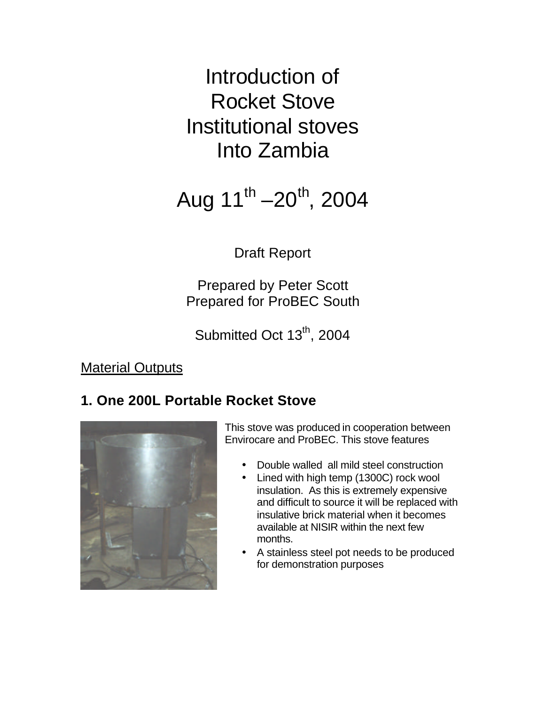Introduction of Rocket Stove Institutional stoves Into Zambia

Aug 11<sup>th</sup> –20<sup>th</sup>, 2004

Draft Report

Prepared by Peter Scott Prepared for ProBEC South

Submitted Oct 13<sup>th</sup>, 2004

Material Outputs

## **1. One 200L Portable Rocket Stove**



This stove was produced in cooperation between Envirocare and ProBEC. This stove features

- Double walled all mild steel construction
- Lined with high temp (1300C) rock wool insulation. As this is extremely expensive and difficult to source it will be replaced with insulative brick material when it becomes available at NISIR within the next few months.
- A stainless steel pot needs to be produced for demonstration purposes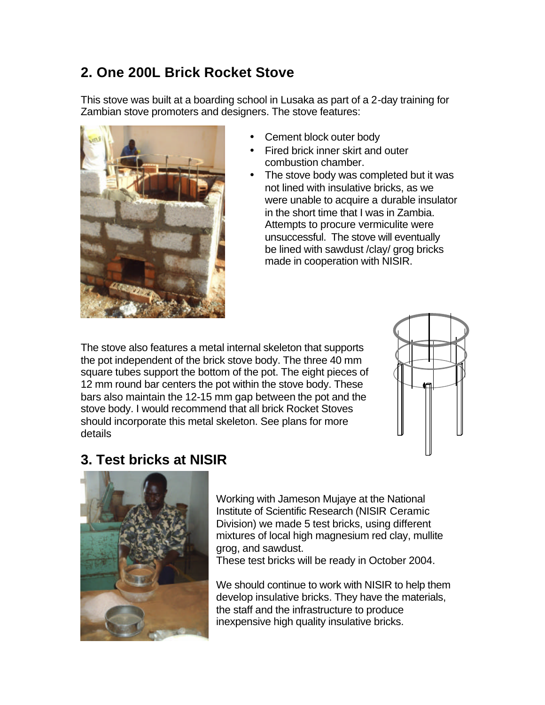## **2. One 200L Brick Rocket Stove**

This stove was built at a boarding school in Lusaka as part of a 2-day training for Zambian stove promoters and designers. The stove features:



- Cement block outer body
- Fired brick inner skirt and outer combustion chamber.
- The stove body was completed but it was not lined with insulative bricks, as we were unable to acquire a durable insulator in the short time that I was in Zambia. Attempts to procure vermiculite were unsuccessful. The stove will eventually be lined with sawdust /clay/ grog bricks made in cooperation with NISIR.

The stove also features a metal internal skeleton that supports the pot independent of the brick stove body. The three 40 mm square tubes support the bottom of the pot. The eight pieces of 12 mm round bar centers the pot within the stove body. These bars also maintain the 12-15 mm gap between the pot and the stove body. I would recommend that all brick Rocket Stoves should incorporate this metal skeleton. See plans for more details



## **3. Test bricks at NISIR**



Working with Jameson Mujaye at the National Institute of Scientific Research (NISIR Ceramic Division) we made 5 test bricks, using different mixtures of local high magnesium red clay, mullite grog, and sawdust.

These test bricks will be ready in October 2004.

We should continue to work with NISIR to help them develop insulative bricks. They have the materials, the staff and the infrastructure to produce inexpensive high quality insulative bricks.